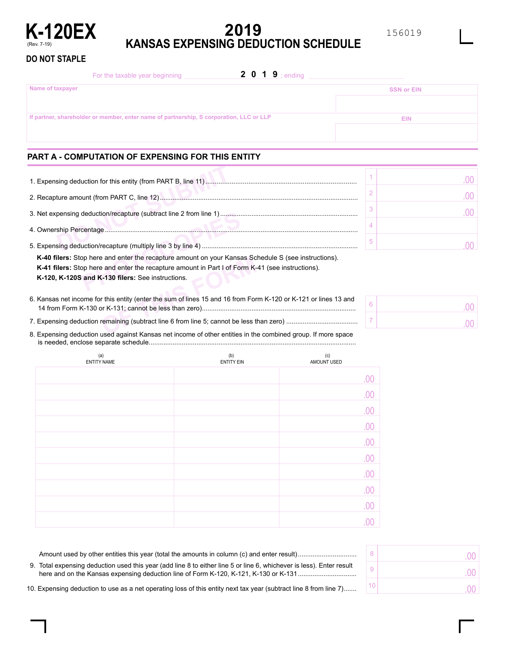

# **2019 KANSAS EXPENSING DEDUCTION SCHEDULE**

## **DO NOT STAPLE**

| 2 0 1 9 ; ending<br>For the taxable year beginning                                      |                   |
|-----------------------------------------------------------------------------------------|-------------------|
| Name of taxpayer                                                                        | <b>SSN or EIN</b> |
|                                                                                         |                   |
| If partner, shareholder or member, enter name of partnership, S corporation, LLC or LLP | <b>EIN</b>        |
|                                                                                         |                   |

# **PART A - COMPUTATION OF EXPENSING FOR THIS ENTITY**

| <b>K-40 filers:</b> Stop here and enter the recapture amount on your Kansas Schedule S (see instructions). |  |  |  |  |  |  |
|------------------------------------------------------------------------------------------------------------|--|--|--|--|--|--|
| <b>K-41 filers:</b> Stop here and enter the recapture amount in Part I of Form K-41 (see instructions).    |  |  |  |  |  |  |
| K-120, K-120S and K-130 filers: See instructions.                                                          |  |  |  |  |  |  |
|                                                                                                            |  |  |  |  |  |  |

**Example 13 and enter the recapture amount on your Kansas Sc and enter the recapture amount in Part I of Form K-4-130 filers: See instructions.**<br> **CF-130 filers:** See instructions.<br>
In this entity (enter the sum of lines 1 .................................................................................... 14 from Form K-130 or K-131; cannot be less than zero) 6. Kansas net income for this entity (enter the sum of lines 15 and 16 from Form K-120 or K-121 or lines 13 and

....................................... 7. Expensing deduction remaining (subtract line 6 from line 5; cannot be less than zero)

................................................................................................................. is needed, enclose separate schedule 8. Expensing deduction used against Kansas net income of other entities in the combined group. If more space

| (a)<br><b>ENTITY NAME</b> | (b)<br><b>ENTITY EIN</b> | (c)<br>AMOUNT USED |
|---------------------------|--------------------------|--------------------|
|                           |                          | .00                |
|                           |                          | .00                |
|                           |                          | .00                |
|                           |                          | .00                |
|                           |                          | .00                |
|                           |                          | .00                |
|                           |                          | .00                |
|                           |                          | .00                |
|                           |                          | .00                |
|                           |                          |                    |

|    | .00      |
|----|----------|
| -9 | .00<br>× |
| 10 | n٥       |

10. Expensing deduction to use as a net operating loss of this entity next tax year (subtract line 8 from line 7) .......

Amount used by other entities this year (total the amounts in column (c) and enter result) ................................ 9. Total expensing deduction used this year (add line 8 to either line 5 or line 6, whichever is less). Enter result here and on the Kansas expensing deduction line of Form K-120, K-121, K-130 or K-131 ................................

6 7 .00 .00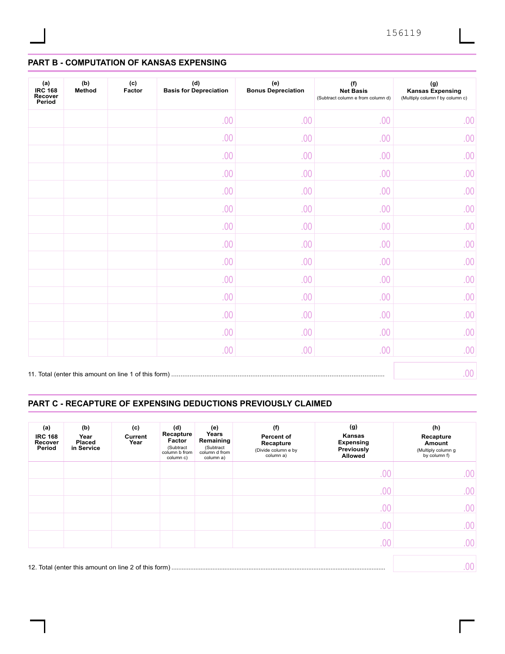# **PART B - COMPUTATION OF KANSAS EXPENSING**

| (a)<br><b>IRC 168</b><br>Recover<br>Period | (b)<br>Method | (c)<br>Factor | (d)<br><b>Basis for Depreciation</b> | (e)<br><b>Bonus Depreciation</b> | (f)<br><b>Net Basis</b><br>(Subtract column e from column d) | $(\mathsf{g})$<br><b>Kansas Expensing</b><br>(Multiply column f by column c) |
|--------------------------------------------|---------------|---------------|--------------------------------------|----------------------------------|--------------------------------------------------------------|------------------------------------------------------------------------------|
|                                            |               |               | .00                                  | .00                              | .00                                                          | .00                                                                          |
|                                            |               |               | .00                                  | .00                              | .00                                                          | .00                                                                          |
|                                            |               |               | .00                                  | .00                              | .00                                                          | .00                                                                          |
|                                            |               |               | .00                                  | .00                              | .00                                                          | .00                                                                          |
|                                            |               |               | .00                                  | .00                              | .00                                                          | .00                                                                          |
|                                            |               |               | .00                                  | .00                              | .00                                                          | .00                                                                          |
|                                            |               |               | .00                                  | .00                              | .00                                                          | .00                                                                          |
|                                            |               |               | .00                                  | .00                              | .00                                                          | .00                                                                          |
|                                            |               |               | .00                                  | .00                              | .00                                                          | .00                                                                          |
|                                            |               |               | .00                                  | .00                              | .00                                                          | .00                                                                          |
|                                            |               |               | .00                                  | .00                              | .00                                                          | .00                                                                          |
|                                            |               |               | .00                                  | .00                              | .00                                                          | .00                                                                          |
|                                            |               |               | .00                                  | .00                              | .00                                                          | .00                                                                          |
|                                            |               |               | .00.                                 | .00                              | .00                                                          | .00                                                                          |
|                                            |               |               |                                      |                                  |                                                              | .00.                                                                         |

# **PART C - RECAPTURE OF EXPENSING DEDUCTIONS PREVIOUSLY CLAIMED**

| (a)<br><b>IRC 168</b><br>Recover<br>Period | (b)<br>Year<br><b>Placed</b><br>in Service | (c)<br>Current<br>Year | (d)<br>Recapture<br>Factor<br>(Subtract<br>column b from<br>column c) | (e)<br>Years<br>Remaining<br>(Subtract<br>column d from<br>column a) | (f)<br>Percent of<br>Recapture<br>(Divide column e by<br>column a) | (g)<br>Kansas<br><b>Expensing</b><br>Previously<br><b>Allowed</b> | (h)<br>Recapture<br>Amount<br>(Multiply column g<br>by column f) |
|--------------------------------------------|--------------------------------------------|------------------------|-----------------------------------------------------------------------|----------------------------------------------------------------------|--------------------------------------------------------------------|-------------------------------------------------------------------|------------------------------------------------------------------|
|                                            |                                            |                        |                                                                       |                                                                      |                                                                    | .00                                                               | .00                                                              |
|                                            |                                            |                        |                                                                       |                                                                      |                                                                    | .00                                                               | .00                                                              |
|                                            |                                            |                        |                                                                       |                                                                      |                                                                    | .00                                                               | .00                                                              |
|                                            |                                            |                        |                                                                       |                                                                      |                                                                    | .00                                                               | .00                                                              |
|                                            |                                            |                        |                                                                       |                                                                      |                                                                    | .00                                                               | .00                                                              |
|                                            |                                            |                        |                                                                       |                                                                      |                                                                    |                                                                   | .00                                                              |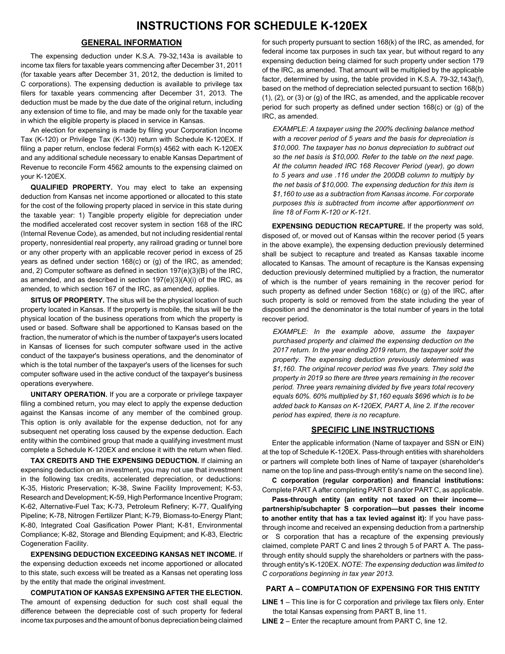## **GENERAL INFORMATION**

The expensing deduction under K.S.A. 79-32,143a is available to income tax filers for taxable years commencing after December 31, 2011 (for taxable years after December 31, 2012, the deduction is limited to C corporations). The expensing deduction is available to privilege tax filers for taxable years commencing after December 31, 2013. The deduction must be made by the due date of the original return, including any extension of time to file, and may be made only for the taxable year in which the eligible property is placed in service in Kansas.

An election for expensing is made by filing your Corporation Income Tax (K-120) or Privilege Tax (K-130) return with Schedule K-120EX. If filing a paper return, enclose federal Form(s) 4562 with each K-120EX and any additional schedule necessary to enable Kansas Department of Revenue to reconcile Form 4562 amounts to the expensing claimed on your K-120EX.

**QUALIFIED PROPERTY.** You may elect to take an expensing deduction from Kansas net income apportioned or allocated to this state for the cost of the following property placed in service in this state during the taxable year: 1) Tangible property eligible for depreciation under the modified accelerated cost recover system in section 168 of the IRC (Internal Revenue Code), as amended, but not including residential rental property, nonresidential real property, any railroad grading or tunnel bore or any other property with an applicable recover period in excess of 25 years as defined under section 168(c) or (g) of the IRC, as amended; and, 2) Computer software as defined in section 197(e)(3)(B) of the IRC, as amended, and as described in section 197(e)(3)(A)(i) of the IRC, as amended, to which section 167 of the IRC, as amended, applies.

**SITUS OF PROPERTY.** The situs will be the physical location of such property located in Kansas. If the property is mobile, the situs will be the physical location of the business operations from which the property is used or based. Software shall be apportioned to Kansas based on the fraction, the numerator of which is the number of taxpayer's users located in Kansas of licenses for such computer software used in the active conduct of the taxpayer's business operations, and the denominator of which is the total number of the taxpayer's users of the licenses for such computer software used in the active conduct of the taxpayer's business operations everywhere.

**UNITARY OPERATION.** If you are a corporate or privilege taxpayer filing a combined return, you may elect to apply the expense deduction against the Kansas income of any member of the combined group. This option is only available for the expense deduction, not for any subsequent net operating loss caused by the expense deduction. Each entity within the combined group that made a qualifying investment must complete a Schedule K-120EX and enclose it with the return when filed.

**TAX CREDITS AND THE EXPENSING DEDUCTION.** If claiming an expensing deduction on an investment, you may not use that investment in the following tax credits, accelerated depreciation, or deductions: K-35, Historic Preservation; K-38, Swine Facility Improvement; K-53, Research and Development; K-59, High Performance Incentive Program; K-62, Alternative-Fuel Tax; K-73, Petroleum Refinery; K-77, Qualifying Pipeline; K-78, Nitrogen Fertilizer Plant; K-79, Biomass-to-Energy Plant; K-80, Integrated Coal Gasification Power Plant; K-81, Environmental Compliance; K-82, Storage and Blending Equipment; and K-83, Electric Cogeneration Facility.

**EXPENSING DEDUCTION EXCEEDING KANSAS NET INCOME.** If the expensing deduction exceeds net income apportioned or allocated to this state, such excess will be treated as a Kansas net operating loss by the entity that made the original investment.

**COMPUTATION OF KANSAS EXPENSING AFTER THE ELECTION.** The amount of expensing deduction for such cost shall equal the difference between the depreciable cost of such property for federal income tax purposes and the amount of bonus depreciation being claimed

for such property pursuant to section 168(k) of the IRC, as amended, for federal income tax purposes in such tax year, but without regard to any expensing deduction being claimed for such property under section 179 of the IRC, as amended. That amount will be multiplied by the applicable factor, determined by using, the table provided in K.S.A. 79-32,143a(f), based on the method of depreciation selected pursuant to section 168(b) (1), (2), or (3) or (g) of the IRC, as amended, and the applicable recover period for such property as defined under section 168(c) or (g) of the IRC, as amended.

*EXAMPLE: A taxpayer using the 200% declining balance method with a recover period of 5 years and the basis for depreciation is \$10,000. The taxpayer has no bonus depreciation to subtract out so the net basis is \$10,000. Refer to the table on the next page. At the column headed IRC 168 Recover Period (year), go down to 5 years and use .116 under the 200DB column to multiply by the net basis of \$10,000. The expensing deduction for this item is \$1,160 to use as a subtraction from Kansas income. For corporate purposes this is subtracted from income after apportionment on line 18 of Form K-120 or K-121.*

**EXPENSING DEDUCTION RECAPTURE.** If the property was sold, disposed of, or moved out of Kansas within the recover period (5 years in the above example), the expensing deduction previously determined shall be subject to recapture and treated as Kansas taxable income allocated to Kansas. The amount of recapture is the Kansas expensing deduction previously determined multiplied by a fraction, the numerator of which is the number of years remaining in the recover period for such property as defined under Section 168(c) or (g) of the IRC, after such property is sold or removed from the state including the year of disposition and the denominator is the total number of years in the total recover period.

*EXAMPLE: In the example above, assume the taxpayer purchased property and claimed the expensing deduction on the 2017 return. In the year ending 2019 return, the taxpayer sold the property. The expensing deduction previously determined was \$1,160. The original recover period was five years. They sold the property in 2019 so there are three years remaining in the recover period. Three years remaining divided by five years total recovery equals 60%. 60% multiplied by \$1,160 equals \$696 which is to be added back to Kansas on K-120EX, PART A, line 2. If the recover period has expired, there is no recapture.*

#### **SPECIFIC LINE INSTRUCTIONS**

Enter the applicable information (Name of taxpayer and SSN or EIN) at the top of Schedule K-120EX. Pass-through entities with shareholders or partners will complete both lines of Name of taxpayer (shareholder's name on the top line and pass-through entity's name on the second line).

**C corporation (regular corporation) and financial institutions:**  Complete PART A after completing PART B and/or PART C, as applicable.

**Pass-through entity (an entity not taxed on their income partnership/subchapter S corporation—but passes their income to another entity that has a tax levied against it):** If you have passthrough income and received an expensing deduction from a partnership or S corporation that has a recapture of the expensing previously claimed, complete PART C and lines 2 through 5 of PART A. The passthrough entity should supply the shareholders or partners with the passthrough entity's K-120EX. *NOTE: The expensing deduction was limited to C corporations beginning in tax year 2013.*

#### **PART A – COMPUTATION OF EXPENSING FOR THIS ENTITY**

**LINE 1** – This line is for C corporation and privilege tax filers only. Enter the total Kansas expensing from PART B, line 11.

**LINE 2** – Enter the recapture amount from PART C, line 12.